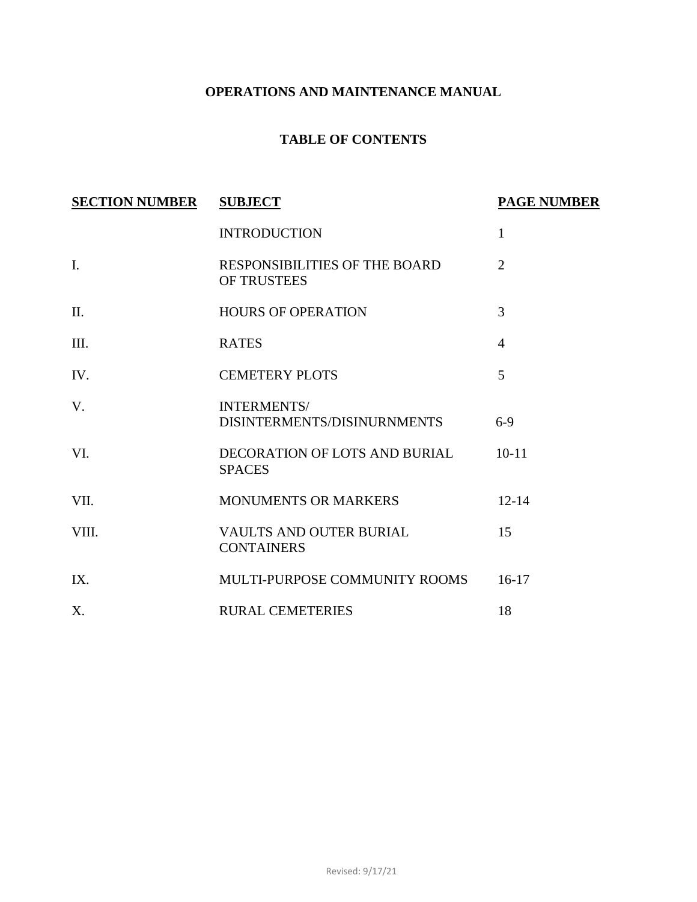# **OPERATIONS AND MAINTENANCE MANUAL**

# **TABLE OF CONTENTS**

| <b>SECTION NUMBER</b> | <b>SUBJECT</b>                                      | <b>PAGE NUMBER</b> |
|-----------------------|-----------------------------------------------------|--------------------|
|                       | <b>INTRODUCTION</b>                                 | $\mathbf{1}$       |
| I.                    | RESPONSIBILITIES OF THE BOARD<br><b>OF TRUSTEES</b> | $\overline{2}$     |
| II.                   | <b>HOURS OF OPERATION</b>                           | 3                  |
| III.                  | <b>RATES</b>                                        | $\overline{4}$     |
| IV.                   | <b>CEMETERY PLOTS</b>                               | 5                  |
| V.                    | <b>INTERMENTS/</b><br>DISINTERMENTS/DISINURNMENTS   | $6-9$              |
| VI.                   | DECORATION OF LOTS AND BURIAL<br><b>SPACES</b>      | $10-11$            |
| VII.                  | <b>MONUMENTS OR MARKERS</b>                         | $12 - 14$          |
| VIII.                 | VAULTS AND OUTER BURIAL<br><b>CONTAINERS</b>        | 15                 |
| IX.                   | MULTI-PURPOSE COMMUNITY ROOMS                       | $16-17$            |
| X.                    | <b>RURAL CEMETERIES</b>                             | 18                 |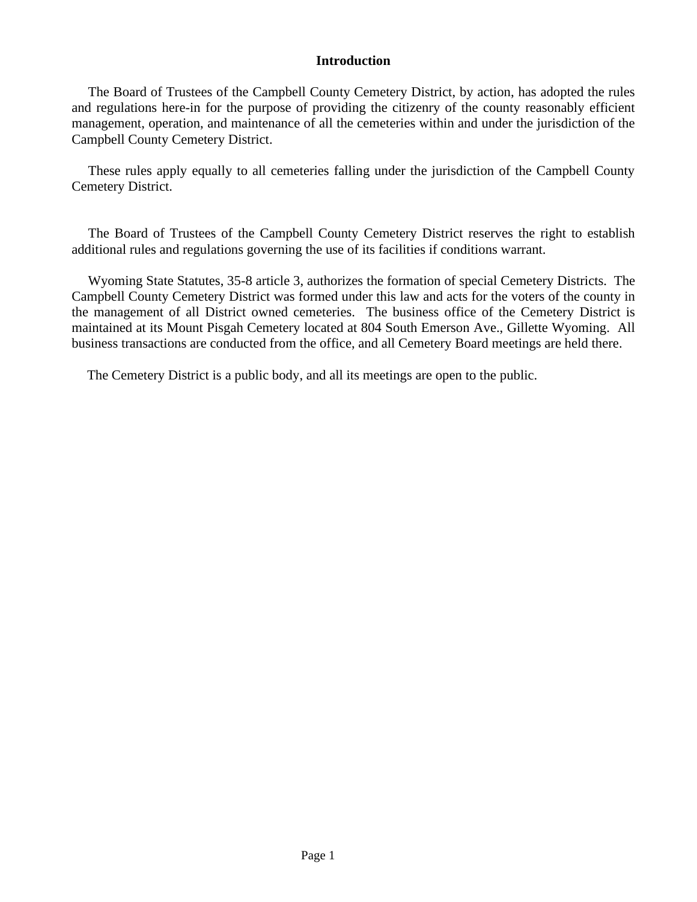### **Introduction**

The Board of Trustees of the Campbell County Cemetery District, by action, has adopted the rules and regulations here-in for the purpose of providing the citizenry of the county reasonably efficient management, operation, and maintenance of all the cemeteries within and under the jurisdiction of the Campbell County Cemetery District.

These rules apply equally to all cemeteries falling under the jurisdiction of the Campbell County Cemetery District.

The Board of Trustees of the Campbell County Cemetery District reserves the right to establish additional rules and regulations governing the use of its facilities if conditions warrant.

Wyoming State Statutes, 35-8 article 3, authorizes the formation of special Cemetery Districts. The Campbell County Cemetery District was formed under this law and acts for the voters of the county in the management of all District owned cemeteries. The business office of the Cemetery District is maintained at its Mount Pisgah Cemetery located at 804 South Emerson Ave., Gillette Wyoming. All business transactions are conducted from the office, and all Cemetery Board meetings are held there.

The Cemetery District is a public body, and all its meetings are open to the public.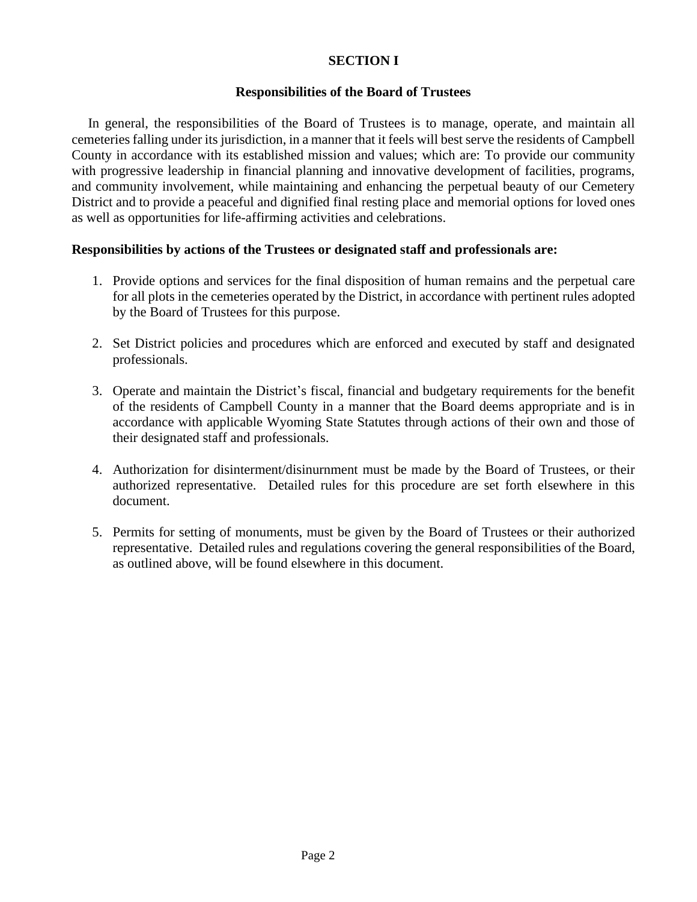# **SECTION I**

### **Responsibilities of the Board of Trustees**

In general, the responsibilities of the Board of Trustees is to manage, operate, and maintain all cemeteries falling under its jurisdiction, in a manner that it feels will best serve the residents of Campbell County in accordance with its established mission and values; which are: To provide our community with progressive leadership in financial planning and innovative development of facilities, programs, and community involvement, while maintaining and enhancing the perpetual beauty of our Cemetery District and to provide a peaceful and dignified final resting place and memorial options for loved ones as well as opportunities for life-affirming activities and celebrations.

### **Responsibilities by actions of the Trustees or designated staff and professionals are:**

- 1. Provide options and services for the final disposition of human remains and the perpetual care for all plots in the cemeteries operated by the District, in accordance with pertinent rules adopted by the Board of Trustees for this purpose.
- 2. Set District policies and procedures which are enforced and executed by staff and designated professionals.
- 3. Operate and maintain the District's fiscal, financial and budgetary requirements for the benefit of the residents of Campbell County in a manner that the Board deems appropriate and is in accordance with applicable Wyoming State Statutes through actions of their own and those of their designated staff and professionals.
- 4. Authorization for disinterment/disinurnment must be made by the Board of Trustees, or their authorized representative. Detailed rules for this procedure are set forth elsewhere in this document.
- 5. Permits for setting of monuments, must be given by the Board of Trustees or their authorized representative. Detailed rules and regulations covering the general responsibilities of the Board, as outlined above, will be found elsewhere in this document.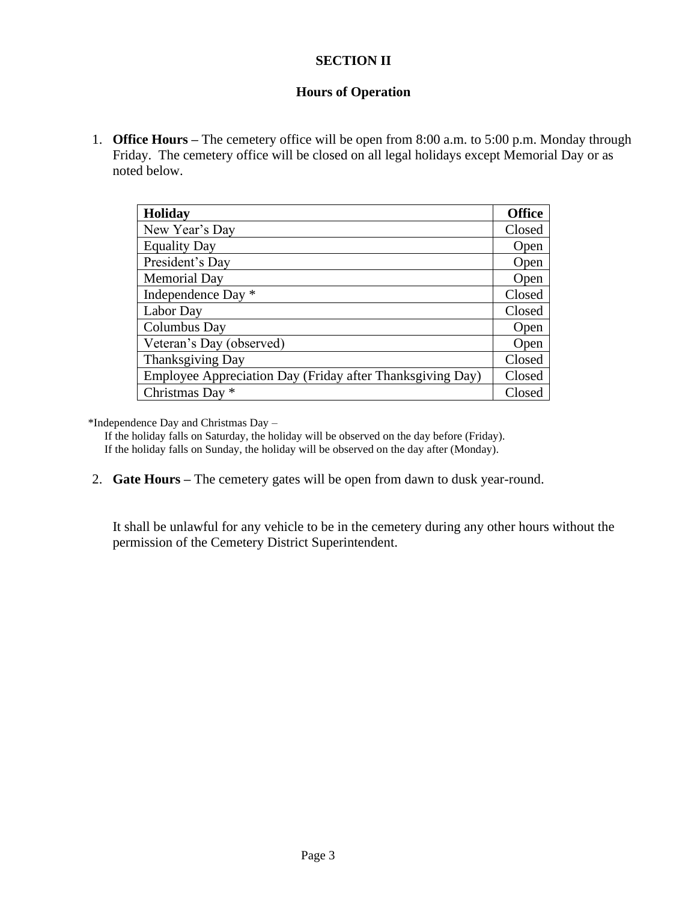# **SECTION II**

# **Hours of Operation**

1. **Office Hours –** The cemetery office will be open from 8:00 a.m. to 5:00 p.m. Monday through Friday. The cemetery office will be closed on all legal holidays except Memorial Day or as noted below.

| <b>Holiday</b>                                            | <b>Office</b> |
|-----------------------------------------------------------|---------------|
| New Year's Day                                            | Closed        |
| <b>Equality Day</b>                                       | Open          |
| President's Day                                           | Open          |
| <b>Memorial Day</b>                                       | Open          |
| Independence Day *                                        | Closed        |
| Labor Day                                                 | Closed        |
| Columbus Day                                              | Open          |
| Veteran's Day (observed)                                  | Open          |
| Thanksgiving Day                                          | Closed        |
| Employee Appreciation Day (Friday after Thanksgiving Day) | Closed        |
| Christmas Day *                                           | Closed        |

\*Independence Day and Christmas Day –

If the holiday falls on Saturday, the holiday will be observed on the day before (Friday). If the holiday falls on Sunday, the holiday will be observed on the day after (Monday).

2. **Gate Hours –** The cemetery gates will be open from dawn to dusk year-round.

It shall be unlawful for any vehicle to be in the cemetery during any other hours without the permission of the Cemetery District Superintendent.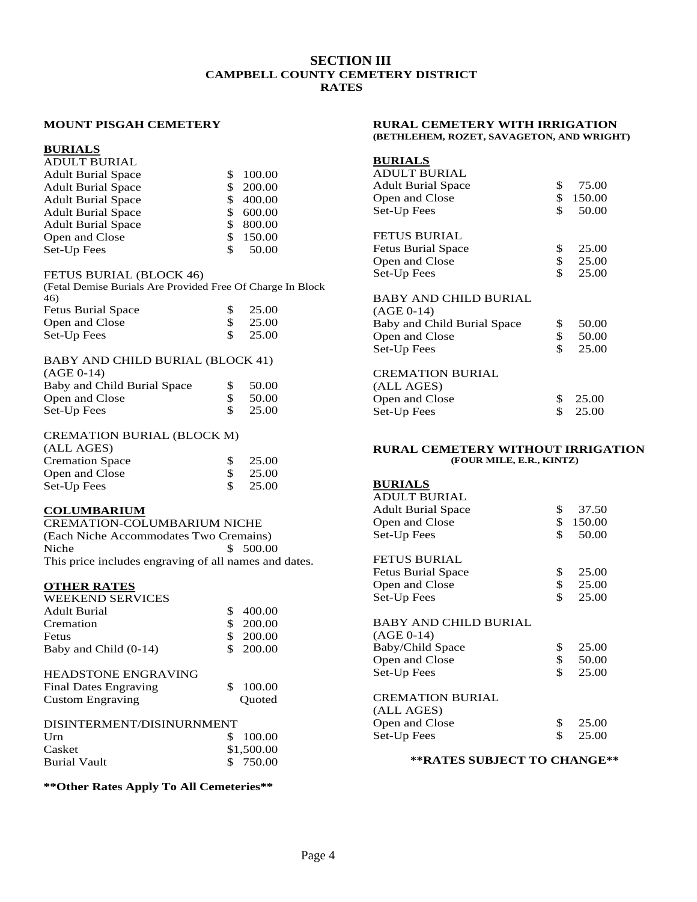### **SECTION III CAMPBELL COUNTY CEMETERY DISTRICT RATES**

#### **MOUNT PISGAH CEMETERY**

#### **BURIALS**

### ADULT BURIAL

| <b>Adult Burial Space</b> | \$. | 100.00    |
|---------------------------|-----|-----------|
| <b>Adult Burial Space</b> | \$. | 200.00    |
| <b>Adult Burial Space</b> |     | \$400.00  |
| <b>Adult Burial Space</b> |     | \$600.00  |
| <b>Adult Burial Space</b> |     | \$ 800.00 |
| Open and Close            |     | \$150.00  |
| Set-Up Fees               | S.  | 50.00     |

#### FETUS BURIAL (BLOCK 46)

(Fetal Demise Burials Are Provided Free Of Charge In Block 46)

| <b>Fetus Burial Space</b> | $\frac{\$}{25.00}$ |
|---------------------------|--------------------|
| Open and Close            | $\frac{\$}{25.00}$ |
| Set-Up Fees               | $\frac{\$}{25.00}$ |

#### BABY AND CHILD BURIAL (BLOCK 41)

| $(AGE 0-14)$                |    |       |
|-----------------------------|----|-------|
| Baby and Child Burial Space | Æ. | 50.00 |
| Open and Close              |    | 50.00 |
| Set-Up Fees                 |    | 25.00 |

#### CREMATION BURIAL (BLOCK M)

| (ALL AGES)             |       |
|------------------------|-------|
| <b>Cremation Space</b> | 25.00 |
| Open and Close         | 25.00 |
| Set-Up Fees            | 25.00 |

#### **COLUMBARIUM**

CREMATION-COLUMBARIUM NICHE (Each Niche Accommodates Two Cremains) Niche \$ 500.00 This price includes engraving of all names and dates.

# **OTHER RATES**

| <b>WEEKEND SERVICES</b>                                                               |                        |
|---------------------------------------------------------------------------------------|------------------------|
| Adult Burial                                                                          | \$<br>400.00           |
| Cremation                                                                             | 200.00                 |
| Fetus                                                                                 | \$<br>200.00           |
| Baby and Child (0-14)                                                                 | 200.00                 |
| <b>HEADSTONE ENGRAVING</b><br><b>Final Dates Engraving</b><br><b>Custom Engraving</b> | \$<br>100.00<br>Ouoted |
| DISINTERMENT/DISINURNMENT                                                             |                        |

| PRIMITERMENT/PRIMITERITY |            |
|--------------------------|------------|
|                          | \$100.00   |
|                          | \$1,500.00 |
|                          | \$ 750.00  |
|                          |            |

#### **\*\*Other Rates Apply To All Cemeteries\*\***

#### **RURAL CEMETERY WITH IRRIGATION (BETHLEHEM, ROZET, SAVAGETON, AND WRIGHT)**

### **BURIALS**

| ADULT BURIAL              |     |          |
|---------------------------|-----|----------|
| <b>Adult Burial Space</b> | SS. | 75.00    |
| Open and Close            |     | \$150.00 |
| Set-Up Fees               | SS. | 50.00    |
|                           |     |          |

### FETUS BURIAL

| <b>Fetus Burial Space</b> |               | 25.00 |
|---------------------------|---------------|-------|
| Open and Close            | $\mathcal{S}$ | 25.00 |
| Set-Up Fees               |               | 25.00 |

#### BABY AND CHILD BURIAL

| $(AGE 0-14)$                |             |
|-----------------------------|-------------|
| Baby and Child Burial Space | \$<br>50.00 |
| Open and Close              | \$<br>50.00 |
| Set-Up Fees                 | \$<br>25.00 |
| <b>CREMATION BURIAL</b>     |             |
| (ALL AGES)                  |             |
| Open and Close              | \$<br>25.00 |
| Set-Up Fees                 | \$<br>25.00 |
|                             |             |

#### **RURAL CEMETERY WITHOUT IRRIGATION (FOUR MILE, E.R., KINTZ)**

#### **BURIALS** ADULT BURIAL Adult Burial Space \$ 37.50 Open and Close  $\begin{array}{cc} $ & $150.00 \ $ & $50.00 \ \end{array}$ Set-Up Fees \$ 50.00

### FETUS BURIAL

| <b>Fetus Burial Space</b> | 25.00 |
|---------------------------|-------|
| Open and Close            | 25.00 |
| Set-Up Fees               | 25.00 |

#### BABY AND CHILD BURIAL

| $(AGE 0-14)$            |    |         |
|-------------------------|----|---------|
| Baby/Child Space        | \$ | 25.00   |
| Open and Close          | \$ | 50.00   |
| Set-Up Fees             | S. | 25.00   |
| <b>CREMATION BURIAL</b> |    |         |
| (ALL AGES)              |    |         |
| Open and Close          |    | - 25.00 |

### Dpen and Close \$<br>
et-Un Fees \$ Set-Up Fees \$ 25.00

#### **\*\*RATES SUBJECT TO CHANGE\*\***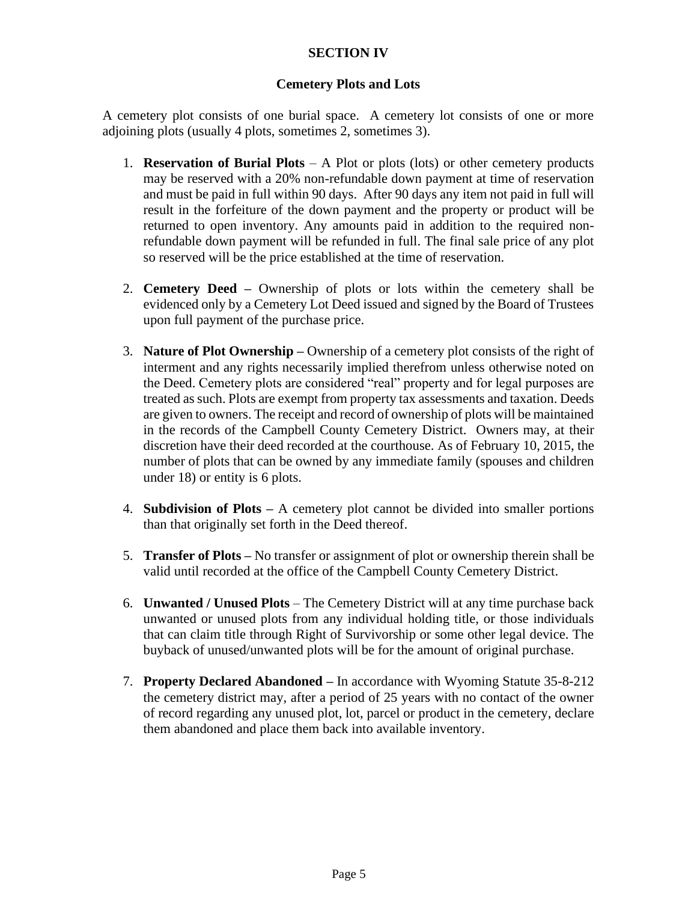# **SECTION IV**

## **Cemetery Plots and Lots**

A cemetery plot consists of one burial space. A cemetery lot consists of one or more adjoining plots (usually 4 plots, sometimes 2, sometimes 3).

- 1. **Reservation of Burial Plots** A Plot or plots (lots) or other cemetery products may be reserved with a 20% non-refundable down payment at time of reservation and must be paid in full within 90 days. After 90 days any item not paid in full will result in the forfeiture of the down payment and the property or product will be returned to open inventory. Any amounts paid in addition to the required nonrefundable down payment will be refunded in full. The final sale price of any plot so reserved will be the price established at the time of reservation.
- 2. **Cemetery Deed –** Ownership of plots or lots within the cemetery shall be evidenced only by a Cemetery Lot Deed issued and signed by the Board of Trustees upon full payment of the purchase price.
- 3. **Nature of Plot Ownership –** Ownership of a cemetery plot consists of the right of interment and any rights necessarily implied therefrom unless otherwise noted on the Deed. Cemetery plots are considered "real" property and for legal purposes are treated as such. Plots are exempt from property tax assessments and taxation. Deeds are given to owners. The receipt and record of ownership of plots will be maintained in the records of the Campbell County Cemetery District. Owners may, at their discretion have their deed recorded at the courthouse. As of February 10, 2015, the number of plots that can be owned by any immediate family (spouses and children under 18) or entity is 6 plots.
- 4. **Subdivision of Plots –** A cemetery plot cannot be divided into smaller portions than that originally set forth in the Deed thereof.
- 5. **Transfer of Plots –** No transfer or assignment of plot or ownership therein shall be valid until recorded at the office of the Campbell County Cemetery District.
- 6. **Unwanted / Unused Plots**  The Cemetery District will at any time purchase back unwanted or unused plots from any individual holding title, or those individuals that can claim title through Right of Survivorship or some other legal device. The buyback of unused/unwanted plots will be for the amount of original purchase.
- 7. **Property Declared Abandoned –** In accordance with Wyoming Statute 35-8-212 the cemetery district may, after a period of 25 years with no contact of the owner of record regarding any unused plot, lot, parcel or product in the cemetery, declare them abandoned and place them back into available inventory.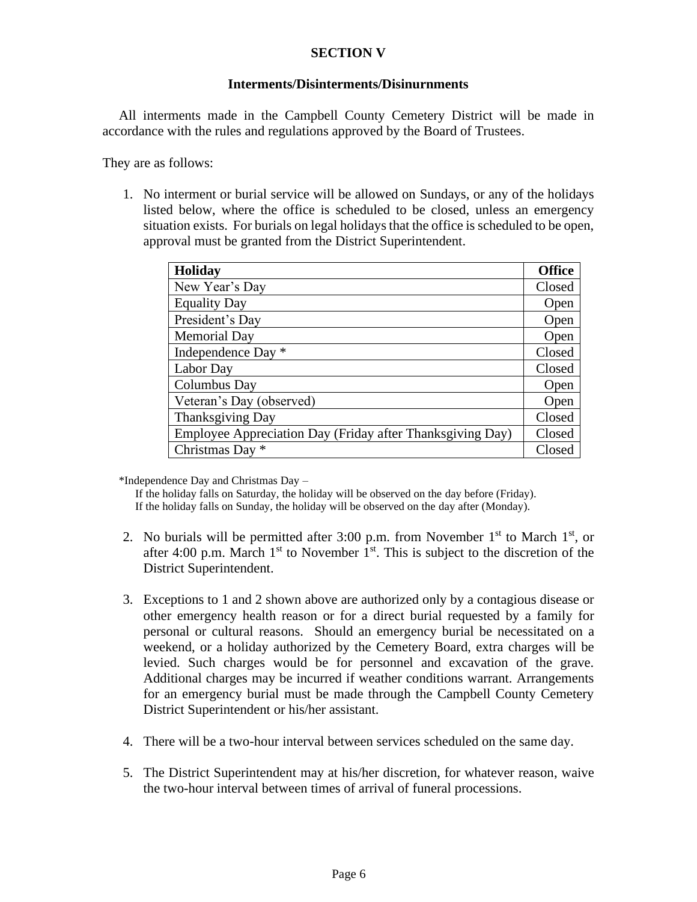## **SECTION V**

### **Interments/Disinterments/Disinurnments**

All interments made in the Campbell County Cemetery District will be made in accordance with the rules and regulations approved by the Board of Trustees.

They are as follows:

1. No interment or burial service will be allowed on Sundays, or any of the holidays listed below, where the office is scheduled to be closed, unless an emergency situation exists. For burials on legal holidays that the office is scheduled to be open, approval must be granted from the District Superintendent.

| <b>Holiday</b>                                            | <b>Office</b> |
|-----------------------------------------------------------|---------------|
| New Year's Day                                            | Closed        |
| <b>Equality Day</b>                                       | Open          |
| President's Day                                           | Open          |
| <b>Memorial Day</b>                                       | Open          |
| Independence Day *                                        | Closed        |
| Labor Day                                                 | Closed        |
| Columbus Day                                              | Open          |
| Veteran's Day (observed)                                  | Open          |
| Thanksgiving Day                                          | Closed        |
| Employee Appreciation Day (Friday after Thanksgiving Day) | Closed        |
| Christmas Day *                                           | Closed        |

\*Independence Day and Christmas Day –

If the holiday falls on Saturday, the holiday will be observed on the day before (Friday). If the holiday falls on Sunday, the holiday will be observed on the day after (Monday).

- 2. No burials will be permitted after 3:00 p.m. from November  $1<sup>st</sup>$  to March  $1<sup>st</sup>$ , or after 4:00 p.m. March  $1<sup>st</sup>$  to November  $1<sup>st</sup>$ . This is subject to the discretion of the District Superintendent.
- 3. Exceptions to 1 and 2 shown above are authorized only by a contagious disease or other emergency health reason or for a direct burial requested by a family for personal or cultural reasons. Should an emergency burial be necessitated on a weekend, or a holiday authorized by the Cemetery Board, extra charges will be levied. Such charges would be for personnel and excavation of the grave. Additional charges may be incurred if weather conditions warrant. Arrangements for an emergency burial must be made through the Campbell County Cemetery District Superintendent or his/her assistant.
- 4. There will be a two-hour interval between services scheduled on the same day.
- 5. The District Superintendent may at his/her discretion, for whatever reason, waive the two-hour interval between times of arrival of funeral processions.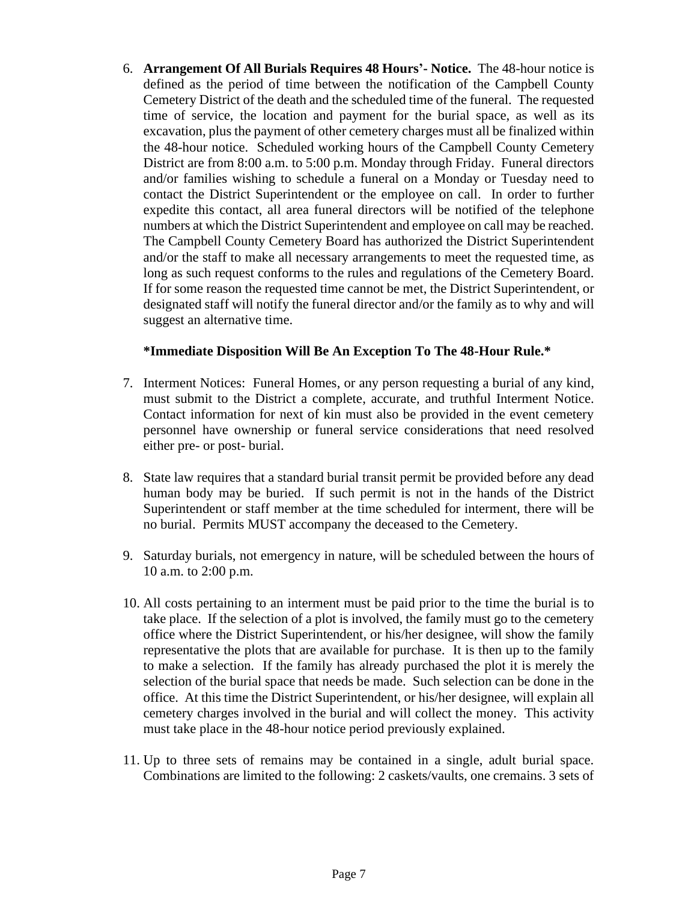6. **Arrangement Of All Burials Requires 48 Hours'- Notice.** The 48-hour notice is defined as the period of time between the notification of the Campbell County Cemetery District of the death and the scheduled time of the funeral. The requested time of service, the location and payment for the burial space, as well as its excavation, plus the payment of other cemetery charges must all be finalized within the 48-hour notice. Scheduled working hours of the Campbell County Cemetery District are from 8:00 a.m. to 5:00 p.m. Monday through Friday. Funeral directors and/or families wishing to schedule a funeral on a Monday or Tuesday need to contact the District Superintendent or the employee on call. In order to further expedite this contact, all area funeral directors will be notified of the telephone numbers at which the District Superintendent and employee on call may be reached. The Campbell County Cemetery Board has authorized the District Superintendent and/or the staff to make all necessary arrangements to meet the requested time, as long as such request conforms to the rules and regulations of the Cemetery Board. If for some reason the requested time cannot be met, the District Superintendent, or designated staff will notify the funeral director and/or the family as to why and will suggest an alternative time.

### **\*Immediate Disposition Will Be An Exception To The 48-Hour Rule.\***

- 7. Interment Notices: Funeral Homes, or any person requesting a burial of any kind, must submit to the District a complete, accurate, and truthful Interment Notice. Contact information for next of kin must also be provided in the event cemetery personnel have ownership or funeral service considerations that need resolved either pre- or post- burial.
- 8. State law requires that a standard burial transit permit be provided before any dead human body may be buried. If such permit is not in the hands of the District Superintendent or staff member at the time scheduled for interment, there will be no burial. Permits MUST accompany the deceased to the Cemetery.
- 9. Saturday burials, not emergency in nature, will be scheduled between the hours of 10 a.m. to 2:00 p.m.
- 10. All costs pertaining to an interment must be paid prior to the time the burial is to take place. If the selection of a plot is involved, the family must go to the cemetery office where the District Superintendent, or his/her designee, will show the family representative the plots that are available for purchase. It is then up to the family to make a selection. If the family has already purchased the plot it is merely the selection of the burial space that needs be made. Such selection can be done in the office. At this time the District Superintendent, or his/her designee, will explain all cemetery charges involved in the burial and will collect the money. This activity must take place in the 48-hour notice period previously explained.
- 11. Up to three sets of remains may be contained in a single, adult burial space. Combinations are limited to the following: 2 caskets/vaults, one cremains. 3 sets of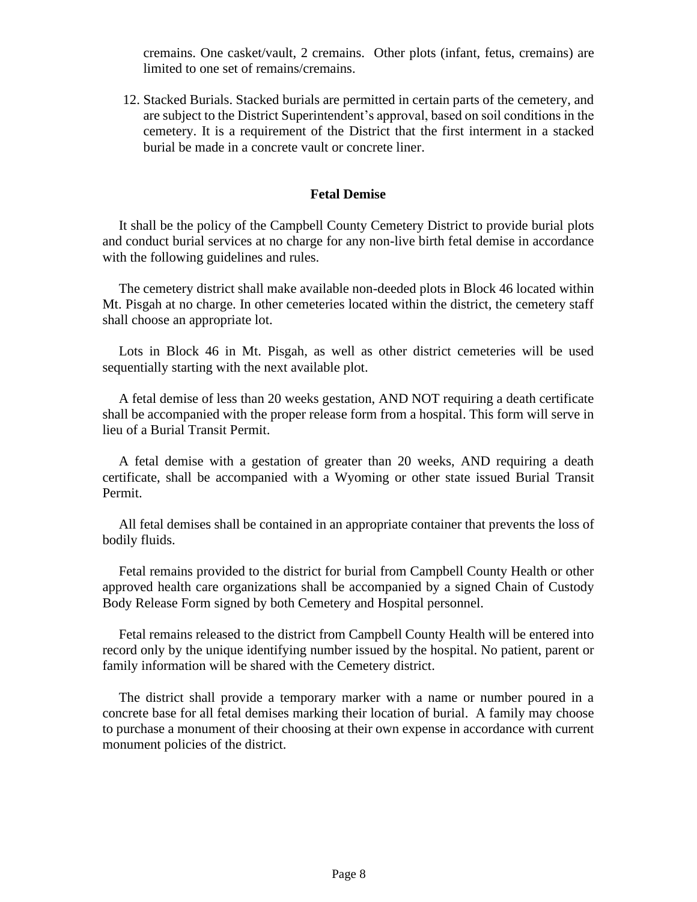cremains. One casket/vault, 2 cremains. Other plots (infant, fetus, cremains) are limited to one set of remains/cremains.

12. Stacked Burials. Stacked burials are permitted in certain parts of the cemetery, and are subject to the District Superintendent's approval, based on soil conditions in the cemetery. It is a requirement of the District that the first interment in a stacked burial be made in a concrete vault or concrete liner.

### **Fetal Demise**

It shall be the policy of the Campbell County Cemetery District to provide burial plots and conduct burial services at no charge for any non-live birth fetal demise in accordance with the following guidelines and rules.

The cemetery district shall make available non-deeded plots in Block 46 located within Mt. Pisgah at no charge. In other cemeteries located within the district, the cemetery staff shall choose an appropriate lot.

Lots in Block 46 in Mt. Pisgah, as well as other district cemeteries will be used sequentially starting with the next available plot.

A fetal demise of less than 20 weeks gestation, AND NOT requiring a death certificate shall be accompanied with the proper release form from a hospital. This form will serve in lieu of a Burial Transit Permit.

A fetal demise with a gestation of greater than 20 weeks, AND requiring a death certificate, shall be accompanied with a Wyoming or other state issued Burial Transit Permit.

All fetal demises shall be contained in an appropriate container that prevents the loss of bodily fluids.

Fetal remains provided to the district for burial from Campbell County Health or other approved health care organizations shall be accompanied by a signed Chain of Custody Body Release Form signed by both Cemetery and Hospital personnel.

Fetal remains released to the district from Campbell County Health will be entered into record only by the unique identifying number issued by the hospital. No patient, parent or family information will be shared with the Cemetery district.

The district shall provide a temporary marker with a name or number poured in a concrete base for all fetal demises marking their location of burial. A family may choose to purchase a monument of their choosing at their own expense in accordance with current monument policies of the district.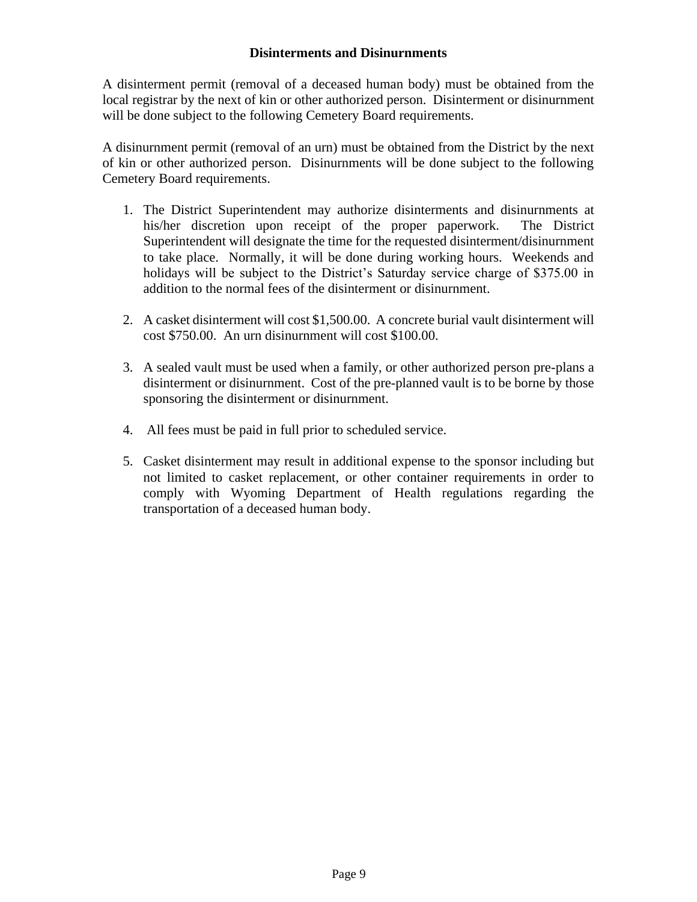## **Disinterments and Disinurnments**

A disinterment permit (removal of a deceased human body) must be obtained from the local registrar by the next of kin or other authorized person. Disinterment or disinurnment will be done subject to the following Cemetery Board requirements.

A disinurnment permit (removal of an urn) must be obtained from the District by the next of kin or other authorized person. Disinurnments will be done subject to the following Cemetery Board requirements.

- 1. The District Superintendent may authorize disinterments and disinurnments at his/her discretion upon receipt of the proper paperwork. The District Superintendent will designate the time for the requested disinterment/disinurnment to take place. Normally, it will be done during working hours. Weekends and holidays will be subject to the District's Saturday service charge of \$375.00 in addition to the normal fees of the disinterment or disinurnment.
- 2. A casket disinterment will cost \$1,500.00. A concrete burial vault disinterment will cost \$750.00. An urn disinurnment will cost \$100.00.
- 3. A sealed vault must be used when a family, or other authorized person pre-plans a disinterment or disinurnment. Cost of the pre-planned vault is to be borne by those sponsoring the disinterment or disinurnment.
- 4. All fees must be paid in full prior to scheduled service.
- 5. Casket disinterment may result in additional expense to the sponsor including but not limited to casket replacement, or other container requirements in order to comply with Wyoming Department of Health regulations regarding the transportation of a deceased human body.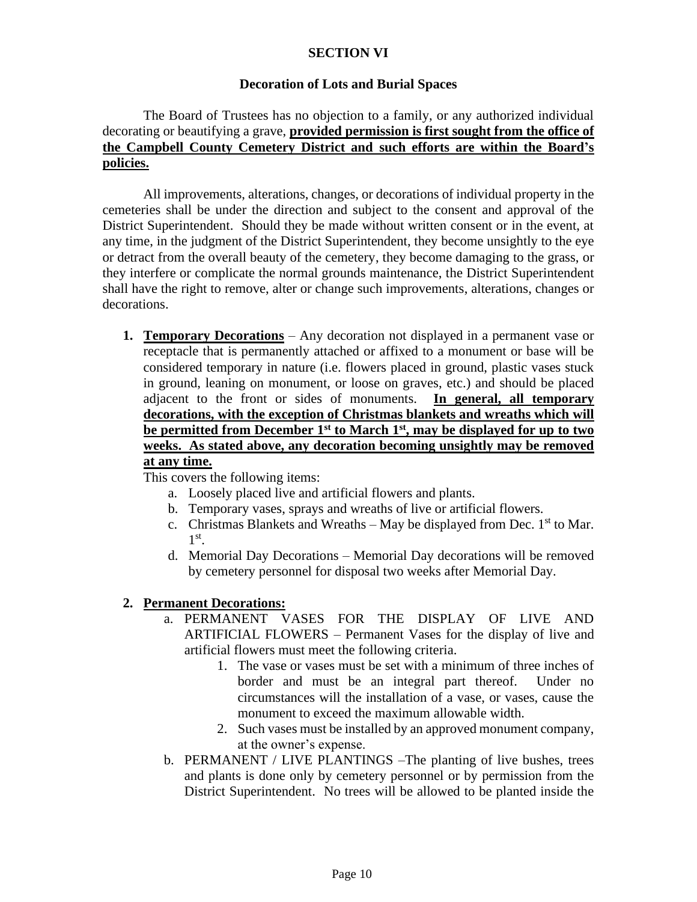# **SECTION VI**

### **Decoration of Lots and Burial Spaces**

# The Board of Trustees has no objection to a family, or any authorized individual decorating or beautifying a grave, **provided permission is first sought from the office of the Campbell County Cemetery District and such efforts are within the Board's policies.**

All improvements, alterations, changes, or decorations of individual property in the cemeteries shall be under the direction and subject to the consent and approval of the District Superintendent. Should they be made without written consent or in the event, at any time, in the judgment of the District Superintendent, they become unsightly to the eye or detract from the overall beauty of the cemetery, they become damaging to the grass, or they interfere or complicate the normal grounds maintenance, the District Superintendent shall have the right to remove, alter or change such improvements, alterations, changes or decorations.

**1. Temporary Decorations** – Any decoration not displayed in a permanent vase or receptacle that is permanently attached or affixed to a monument or base will be considered temporary in nature (i.e. flowers placed in ground, plastic vases stuck in ground, leaning on monument, or loose on graves, etc.) and should be placed adjacent to the front or sides of monuments. **In general, all temporary decorations, with the exception of Christmas blankets and wreaths which will be permitted from December 1st to March 1st, may be displayed for up to two weeks. As stated above, any decoration becoming unsightly may be removed at any time.**

This covers the following items:

- a. Loosely placed live and artificial flowers and plants.
- b. Temporary vases, sprays and wreaths of live or artificial flowers.
- c. Christmas Blankets and Wreaths  $-$  May be displayed from Dec. 1<sup>st</sup> to Mar. 1 st .
- d. Memorial Day Decorations Memorial Day decorations will be removed by cemetery personnel for disposal two weeks after Memorial Day.

### **2. Permanent Decorations:**

- a. PERMANENT VASES FOR THE DISPLAY OF LIVE AND ARTIFICIAL FLOWERS – Permanent Vases for the display of live and artificial flowers must meet the following criteria.
	- 1. The vase or vases must be set with a minimum of three inches of border and must be an integral part thereof. Under no circumstances will the installation of a vase, or vases, cause the monument to exceed the maximum allowable width.
	- 2. Such vases must be installed by an approved monument company, at the owner's expense.
- b. PERMANENT / LIVE PLANTINGS –The planting of live bushes, trees and plants is done only by cemetery personnel or by permission from the District Superintendent. No trees will be allowed to be planted inside the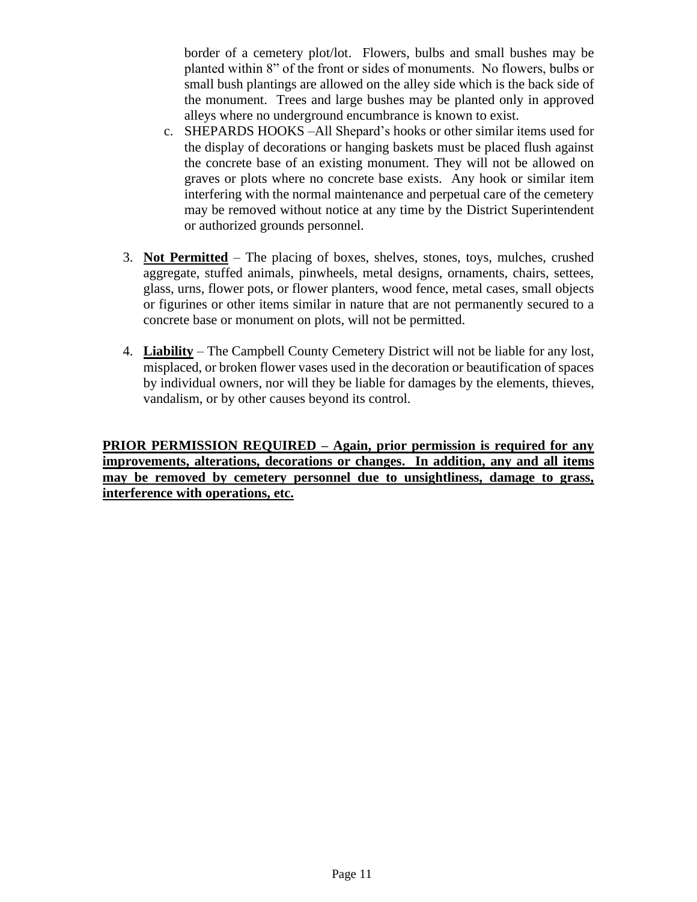border of a cemetery plot/lot. Flowers, bulbs and small bushes may be planted within 8" of the front or sides of monuments. No flowers, bulbs or small bush plantings are allowed on the alley side which is the back side of the monument. Trees and large bushes may be planted only in approved alleys where no underground encumbrance is known to exist.

- c. SHEPARDS HOOKS –All Shepard's hooks or other similar items used for the display of decorations or hanging baskets must be placed flush against the concrete base of an existing monument. They will not be allowed on graves or plots where no concrete base exists. Any hook or similar item interfering with the normal maintenance and perpetual care of the cemetery may be removed without notice at any time by the District Superintendent or authorized grounds personnel.
- 3. **Not Permitted** The placing of boxes, shelves, stones, toys, mulches, crushed aggregate, stuffed animals, pinwheels, metal designs, ornaments, chairs, settees, glass, urns, flower pots, or flower planters, wood fence, metal cases, small objects or figurines or other items similar in nature that are not permanently secured to a concrete base or monument on plots, will not be permitted.
- 4. **Liability** The Campbell County Cemetery District will not be liable for any lost, misplaced, or broken flower vases used in the decoration or beautification of spaces by individual owners, nor will they be liable for damages by the elements, thieves, vandalism, or by other causes beyond its control.

**PRIOR PERMISSION REQUIRED – Again, prior permission is required for any improvements, alterations, decorations or changes. In addition, any and all items may be removed by cemetery personnel due to unsightliness, damage to grass, interference with operations, etc.**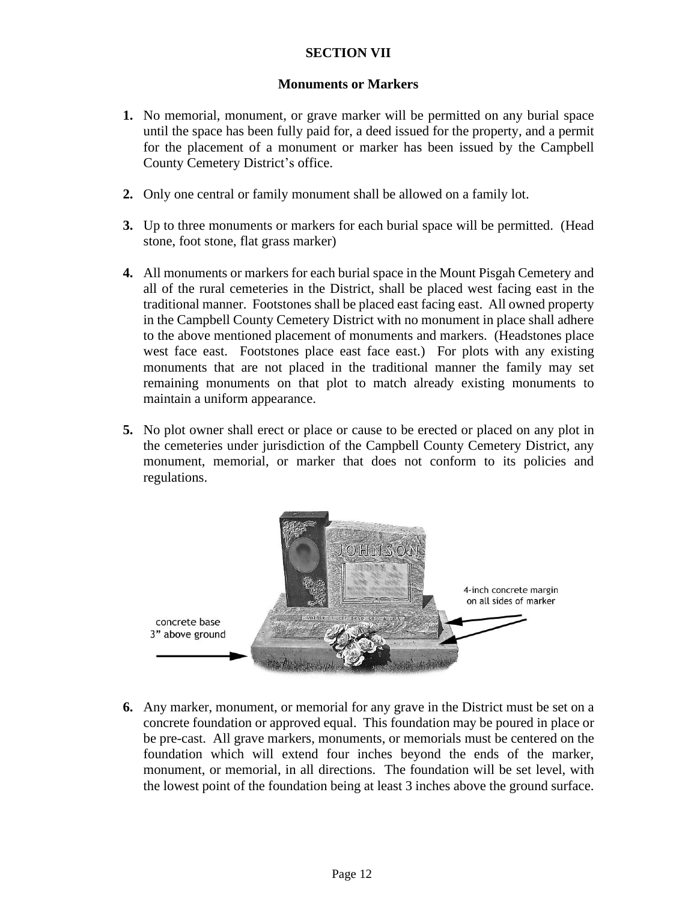# **SECTION VII**

### **Monuments or Markers**

- **1.** No memorial, monument, or grave marker will be permitted on any burial space until the space has been fully paid for, a deed issued for the property, and a permit for the placement of a monument or marker has been issued by the Campbell County Cemetery District's office.
- **2.** Only one central or family monument shall be allowed on a family lot.
- **3.** Up to three monuments or markers for each burial space will be permitted. (Head stone, foot stone, flat grass marker)
- **4.** All monuments or markers for each burial space in the Mount Pisgah Cemetery and all of the rural cemeteries in the District, shall be placed west facing east in the traditional manner. Footstones shall be placed east facing east. All owned property in the Campbell County Cemetery District with no monument in place shall adhere to the above mentioned placement of monuments and markers. (Headstones place west face east. Footstones place east face east.) For plots with any existing monuments that are not placed in the traditional manner the family may set remaining monuments on that plot to match already existing monuments to maintain a uniform appearance.
- **5.** No plot owner shall erect or place or cause to be erected or placed on any plot in the cemeteries under jurisdiction of the Campbell County Cemetery District, any monument, memorial, or marker that does not conform to its policies and regulations.



**6.** Any marker, monument, or memorial for any grave in the District must be set on a concrete foundation or approved equal. This foundation may be poured in place or be pre-cast. All grave markers, monuments, or memorials must be centered on the foundation which will extend four inches beyond the ends of the marker, monument, or memorial, in all directions. The foundation will be set level, with the lowest point of the foundation being at least 3 inches above the ground surface.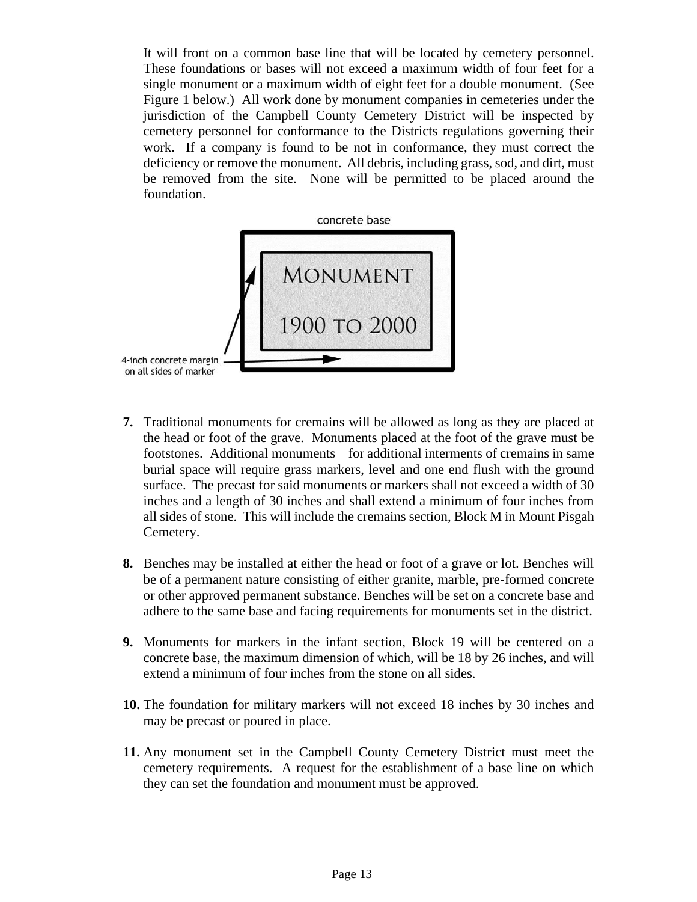It will front on a common base line that will be located by cemetery personnel. These foundations or bases will not exceed a maximum width of four feet for a single monument or a maximum width of eight feet for a double monument. (See Figure 1 below.) All work done by monument companies in cemeteries under the jurisdiction of the Campbell County Cemetery District will be inspected by cemetery personnel for conformance to the Districts regulations governing their work. If a company is found to be not in conformance, they must correct the deficiency or remove the monument. All debris, including grass, sod, and dirt, must be removed from the site. None will be permitted to be placed around the foundation.



- **7.** Traditional monuments for cremains will be allowed as long as they are placed at the head or foot of the grave. Monuments placed at the foot of the grave must be footstones. Additional monuments for additional interments of cremains in same burial space will require grass markers, level and one end flush with the ground surface. The precast for said monuments or markers shall not exceed a width of 30 inches and a length of 30 inches and shall extend a minimum of four inches from all sides of stone. This will include the cremains section, Block M in Mount Pisgah Cemetery.
- **8.** Benches may be installed at either the head or foot of a grave or lot. Benches will be of a permanent nature consisting of either granite, marble, pre-formed concrete or other approved permanent substance. Benches will be set on a concrete base and adhere to the same base and facing requirements for monuments set in the district.
- **9.** Monuments for markers in the infant section, Block 19 will be centered on a concrete base, the maximum dimension of which, will be 18 by 26 inches, and will extend a minimum of four inches from the stone on all sides.
- **10.** The foundation for military markers will not exceed 18 inches by 30 inches and may be precast or poured in place.
- **11.** Any monument set in the Campbell County Cemetery District must meet the cemetery requirements. A request for the establishment of a base line on which they can set the foundation and monument must be approved.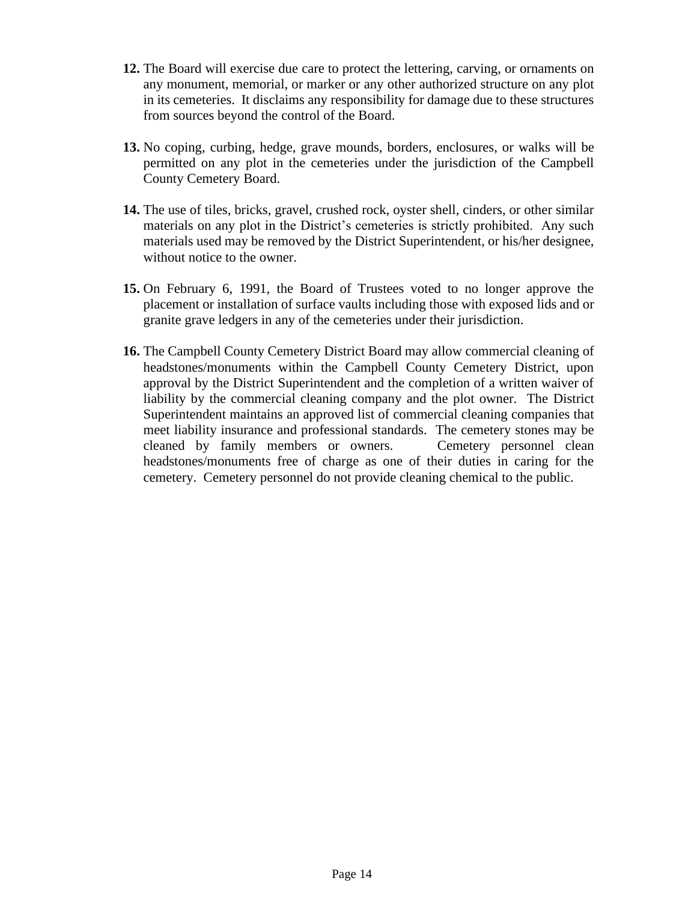- **12.** The Board will exercise due care to protect the lettering, carving, or ornaments on any monument, memorial, or marker or any other authorized structure on any plot in its cemeteries. It disclaims any responsibility for damage due to these structures from sources beyond the control of the Board.
- **13.** No coping, curbing, hedge, grave mounds, borders, enclosures, or walks will be permitted on any plot in the cemeteries under the jurisdiction of the Campbell County Cemetery Board.
- **14.** The use of tiles, bricks, gravel, crushed rock, oyster shell, cinders, or other similar materials on any plot in the District's cemeteries is strictly prohibited. Any such materials used may be removed by the District Superintendent, or his/her designee, without notice to the owner.
- **15.** On February 6, 1991, the Board of Trustees voted to no longer approve the placement or installation of surface vaults including those with exposed lids and or granite grave ledgers in any of the cemeteries under their jurisdiction.
- **16.** The Campbell County Cemetery District Board may allow commercial cleaning of headstones/monuments within the Campbell County Cemetery District, upon approval by the District Superintendent and the completion of a written waiver of liability by the commercial cleaning company and the plot owner. The District Superintendent maintains an approved list of commercial cleaning companies that meet liability insurance and professional standards. The cemetery stones may be cleaned by family members or owners. Cemetery personnel clean headstones/monuments free of charge as one of their duties in caring for the cemetery. Cemetery personnel do not provide cleaning chemical to the public.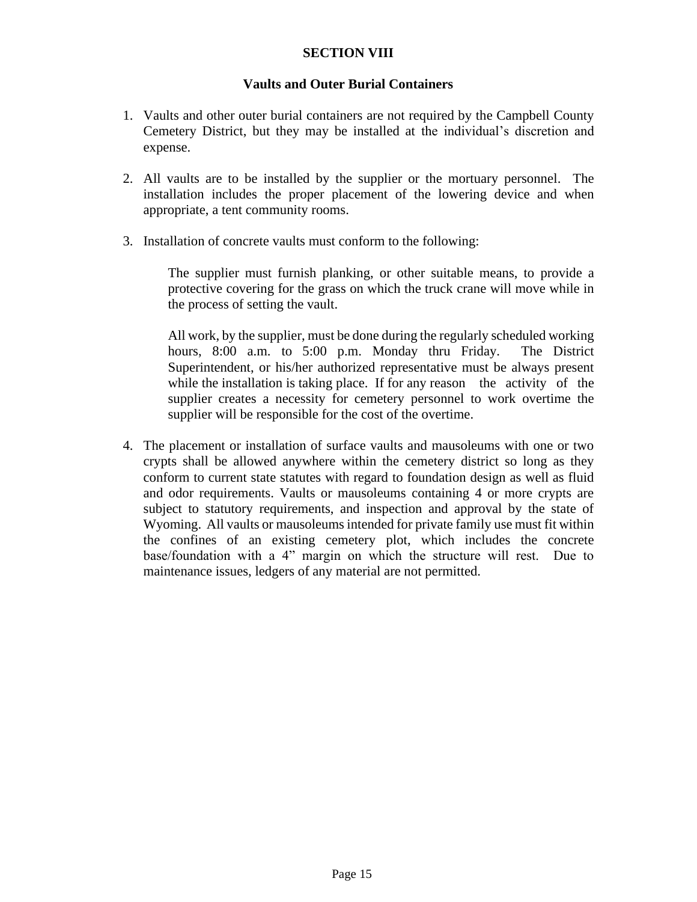## **SECTION VIII**

### **Vaults and Outer Burial Containers**

- 1. Vaults and other outer burial containers are not required by the Campbell County Cemetery District, but they may be installed at the individual's discretion and expense.
- 2. All vaults are to be installed by the supplier or the mortuary personnel. The installation includes the proper placement of the lowering device and when appropriate, a tent community rooms.
- 3. Installation of concrete vaults must conform to the following:

The supplier must furnish planking, or other suitable means, to provide a protective covering for the grass on which the truck crane will move while in the process of setting the vault.

All work, by the supplier, must be done during the regularly scheduled working hours, 8:00 a.m. to 5:00 p.m. Monday thru Friday. The District Superintendent, or his/her authorized representative must be always present while the installation is taking place. If for any reason the activity of the supplier creates a necessity for cemetery personnel to work overtime the supplier will be responsible for the cost of the overtime.

4. The placement or installation of surface vaults and mausoleums with one or two crypts shall be allowed anywhere within the cemetery district so long as they conform to current state statutes with regard to foundation design as well as fluid and odor requirements. Vaults or mausoleums containing 4 or more crypts are subject to statutory requirements, and inspection and approval by the state of Wyoming. All vaults or mausoleums intended for private family use must fit within the confines of an existing cemetery plot, which includes the concrete base/foundation with a 4" margin on which the structure will rest. Due to maintenance issues, ledgers of any material are not permitted.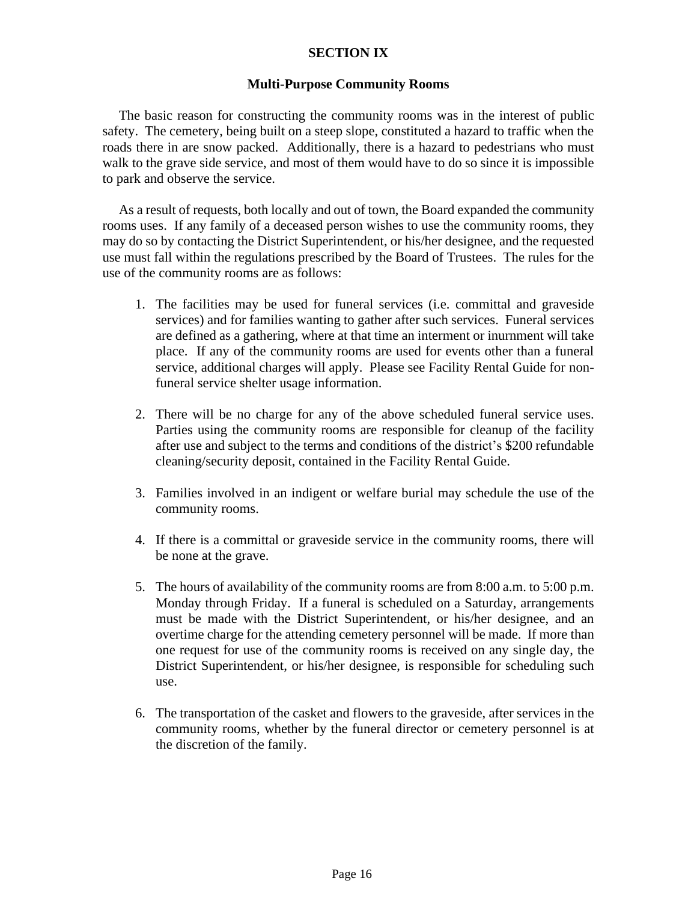### **SECTION IX**

### **Multi-Purpose Community Rooms**

The basic reason for constructing the community rooms was in the interest of public safety. The cemetery, being built on a steep slope, constituted a hazard to traffic when the roads there in are snow packed. Additionally, there is a hazard to pedestrians who must walk to the grave side service, and most of them would have to do so since it is impossible to park and observe the service.

As a result of requests, both locally and out of town, the Board expanded the community rooms uses. If any family of a deceased person wishes to use the community rooms, they may do so by contacting the District Superintendent, or his/her designee, and the requested use must fall within the regulations prescribed by the Board of Trustees. The rules for the use of the community rooms are as follows:

- 1. The facilities may be used for funeral services (i.e. committal and graveside services) and for families wanting to gather after such services. Funeral services are defined as a gathering, where at that time an interment or inurnment will take place. If any of the community rooms are used for events other than a funeral service, additional charges will apply. Please see Facility Rental Guide for nonfuneral service shelter usage information.
- 2. There will be no charge for any of the above scheduled funeral service uses. Parties using the community rooms are responsible for cleanup of the facility after use and subject to the terms and conditions of the district's \$200 refundable cleaning/security deposit, contained in the Facility Rental Guide.
- 3. Families involved in an indigent or welfare burial may schedule the use of the community rooms.
- 4. If there is a committal or graveside service in the community rooms, there will be none at the grave.
- 5. The hours of availability of the community rooms are from 8:00 a.m. to 5:00 p.m. Monday through Friday. If a funeral is scheduled on a Saturday, arrangements must be made with the District Superintendent, or his/her designee, and an overtime charge for the attending cemetery personnel will be made. If more than one request for use of the community rooms is received on any single day, the District Superintendent, or his/her designee, is responsible for scheduling such use.
- 6. The transportation of the casket and flowers to the graveside, after services in the community rooms, whether by the funeral director or cemetery personnel is at the discretion of the family.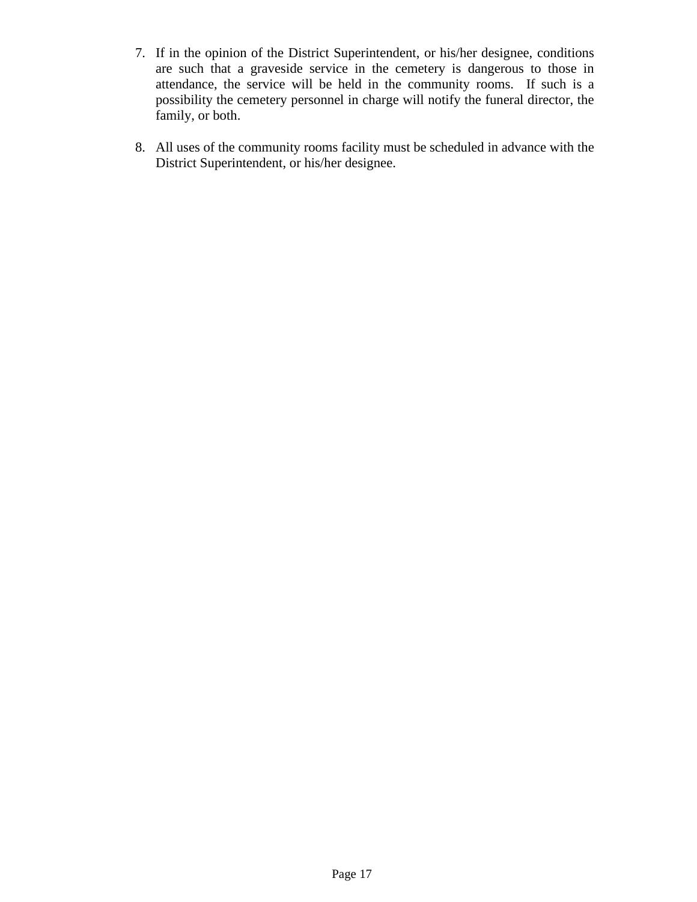- 7. If in the opinion of the District Superintendent, or his/her designee, conditions are such that a graveside service in the cemetery is dangerous to those in attendance, the service will be held in the community rooms. If such is a possibility the cemetery personnel in charge will notify the funeral director, the family, or both.
- 8. All uses of the community rooms facility must be scheduled in advance with the District Superintendent, or his/her designee.